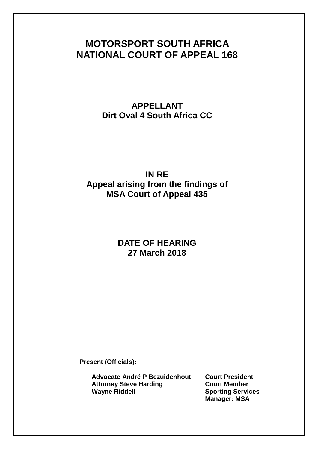# **MOTORSPORT SOUTH AFRICA NATIONAL COURT OF APPEAL 168**

**APPELLANT Dirt Oval 4 South Africa CC**

# **IN RE Appeal arising from the findings of MSA Court of Appeal 435**

# **DATE OF HEARING 27 March 2018**

**Present (Officials):**

**Advocate André P Bezuidenhout Court President Attorney Steve Harding Court Member Wayne Riddell Sporting Services**

**Manager: MSA**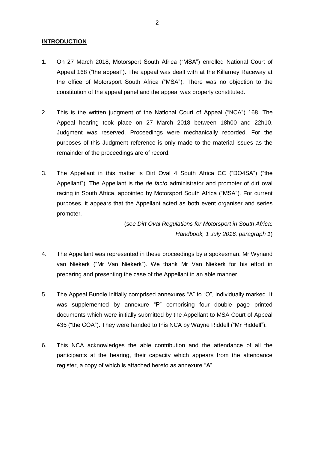## **INTRODUCTION**

- 1. On 27 March 2018, Motorsport South Africa ("MSA") enrolled National Court of Appeal 168 ("the appeal"). The appeal was dealt with at the Killarney Raceway at the office of Motorsport South Africa ("MSA"). There was no objection to the constitution of the appeal panel and the appeal was properly constituted.
- 2. This is the written judgment of the National Court of Appeal ("NCA") 168. The Appeal hearing took place on 27 March 2018 between 18h00 and 22h10. Judgment was reserved. Proceedings were mechanically recorded. For the purposes of this Judgment reference is only made to the material issues as the remainder of the proceedings are of record.
- 3. The Appellant in this matter is Dirt Oval 4 South Africa CC ("DO4SA") ("the Appellant"). The Appellant is the *de facto* administrator and promoter of dirt oval racing in South Africa, appointed by Motorsport South Africa ("MSA"). For current purposes, it appears that the Appellant acted as both event organiser and series promoter.

(*see Dirt Oval Regulations for Motorsport in South Africa: Handbook, 1 July 2016, paragraph 1*)

- 4. The Appellant was represented in these proceedings by a spokesman, Mr Wynand van Niekerk ("Mr Van Niekerk"). We thank Mr Van Niekerk for his effort in preparing and presenting the case of the Appellant in an able manner.
- 5. The Appeal Bundle initially comprised annexures "A" to "O", individually marked. It was supplemented by annexure "P" comprising four double page printed documents which were initially submitted by the Appellant to MSA Court of Appeal 435 ("the COA"). They were handed to this NCA by Wayne Riddell ("Mr Riddell").
- 6. This NCA acknowledges the able contribution and the attendance of all the participants at the hearing, their capacity which appears from the attendance register, a copy of which is attached hereto as annexure "**A**".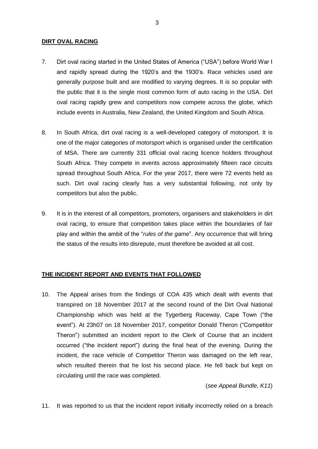#### **DIRT OVAL RACING**

- 7. Dirt oval racing started in the United States of America ("USA") before World War I and rapidly spread during the 1920's and the 1930's. Race vehicles used are generally purpose built and are modified to varying degrees. It is so popular with the public that it is the single most common form of auto racing in the USA. Dirt oval racing rapidly grew and competitors now compete across the globe, which include events in Australia, New Zealand, the United Kingdom and South Africa.
- 8. In South Africa, dirt oval racing is a well-developed category of motorsport. It is one of the major categories of motorsport which is organised under the certification of MSA. There are currently 331 official oval racing licence holders throughout South Africa. They compete in events across approximately fifteen race circuits spread throughout South Africa. For the year 2017, there were 72 events held as such. Dirt oval racing clearly has a very substantial following, not only by competitors but also the public.
- 9. It is in the interest of all competitors, promoters, organisers and stakeholders in dirt oval racing, to ensure that competition takes place within the boundaries of fair play and within the ambit of the "*rules of the game*". Any occurrence that will bring the status of the results into disrepute, must therefore be avoided at all cost.

# **THE INCIDENT REPORT AND EVENTS THAT FOLLOWED**

10. The Appeal arises from the findings of COA 435 which dealt with events that transpired on 18 November 2017 at the second round of the Dirt Oval National Championship which was held at the Tygerberg Raceway, Cape Town ("the event"). At 23h07 on 18 November 2017, competitor Donald Theron ("Competitor Theron") submitted an incident report to the Clerk of Course that an incident occurred ("the incident report") during the final heat of the evening. During the incident, the race vehicle of Competitor Theron was damaged on the left rear, which resulted therein that he lost his second place. He fell back but kept on circulating until the race was completed.

## (*see Appeal Bundle, K11*)

<span id="page-2-0"></span>11. It was reported to us that the incident report initially incorrectly relied on a breach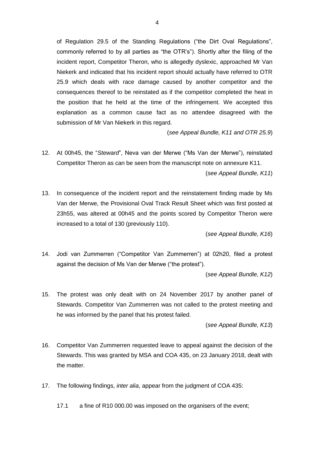of Regulation 29.5 of the Standing Regulations ("the Dirt Oval Regulations", commonly referred to by all parties as "the OTR's"). Shortly after the filing of the incident report, Competitor Theron, who is allegedly dyslexic, approached Mr Van Niekerk and indicated that his incident report should actually have referred to OTR 25.9 which deals with race damage caused by another competitor and the consequences thereof to be reinstated as if the competitor completed the heat in the position that he held at the time of the infringement. We accepted this explanation as a common cause fact as no attendee disagreed with the submission of Mr Van Niekerk in this regard.

(*see Appeal Bundle, K11 and OTR 25.9*)

12. At 00h45, the "*Steward*", Neva van der Merwe ("Ms Van der Merwe"), reinstated Competitor Theron as can be seen from the manuscript note on annexure K11.

(*see Appeal Bundle, K11*)

13. In consequence of the incident report and the reinstatement finding made by Ms Van der Merwe, the Provisional Oval Track Result Sheet which was first posted at 23h55, was altered at 00h45 and the points scored by Competitor Theron were increased to a total of 130 (previously 110).

(*see Appeal Bundle, K16*)

14. Jodi van Zummerren ("Competitor Van Zummerren") at 02h20, filed a protest against the decision of Ms Van der Merwe ("the protest").

(*see Appeal Bundle, K12*)

15. The protest was only dealt with on 24 November 2017 by another panel of Stewards. Competitor Van Zummerren was not called to the protest meeting and he was informed by the panel that his protest failed.

(*see Appeal Bundle, K13*)

- 16. Competitor Van Zummerren requested leave to appeal against the decision of the Stewards. This was granted by MSA and COA 435, on 23 January 2018, dealt with the matter.
- 17. The following findings, *inter alia*, appear from the judgment of COA 435:

17.1 a fine of R10 000.00 was imposed on the organisers of the event;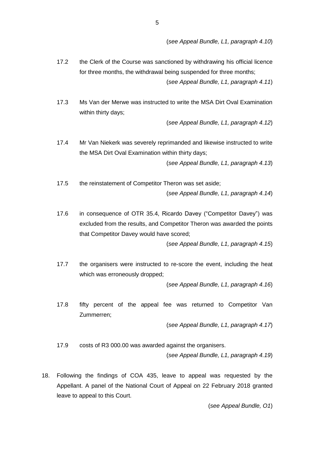(*see Appeal Bundle, L1, paragraph 4.10*)

- 17.2 the Clerk of the Course was sanctioned by withdrawing his official licence for three months, the withdrawal being suspended for three months; (*see Appeal Bundle, L1, paragraph 4.11*)
- 17.3 Ms Van der Merwe was instructed to write the MSA Dirt Oval Examination within thirty days;

(*see Appeal Bundle, L1, paragraph 4.12*)

17.4 Mr Van Niekerk was severely reprimanded and likewise instructed to write the MSA Dirt Oval Examination within thirty days;

(*see Appeal Bundle, L1, paragraph 4.13*)

- 17.5 the reinstatement of Competitor Theron was set aside; (*see Appeal Bundle, L1, paragraph 4.14*)
- 17.6 in consequence of OTR 35.4, Ricardo Davey ("Competitor Davey") was excluded from the results, and Competitor Theron was awarded the points that Competitor Davey would have scored;

(*see Appeal Bundle, L1, paragraph 4.15*)

17.7 the organisers were instructed to re-score the event, including the heat which was erroneously dropped;

(*see Appeal Bundle, L1, paragraph 4.16*)

17.8 fifty percent of the appeal fee was returned to Competitor Van Zummerren;

(*see Appeal Bundle, L1, paragraph 4.17*)

17.9 costs of R3 000.00 was awarded against the organisers.

(*see Appeal Bundle, L1, paragraph 4.19*)

18. Following the findings of COA 435, leave to appeal was requested by the Appellant. A panel of the National Court of Appeal on 22 February 2018 granted leave to appeal to this Court.

(*see Appeal Bundle, O1*)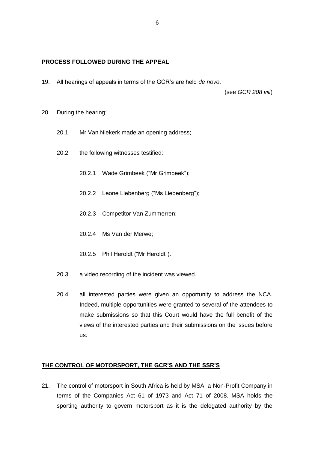#### **PROCESS FOLLOWED DURING THE APPEAL**

19. All hearings of appeals in terms of the GCR's are held *de novo*.

(see *GCR 208 viii*)

- 20. During the hearing:
	- 20.1 Mr Van Niekerk made an opening address;
	- 20.2 the following witnesses testified:
		- 20.2.1 Wade Grimbeek ("Mr Grimbeek");
		- 20.2.2 Leone Liebenberg ("Ms Liebenberg");
		- 20.2.3 Competitor Van Zummerren;
		- 20.2.4 Ms Van der Merwe;
		- 20.2.5 Phil Heroldt ("Mr Heroldt").
	- 20.3 a video recording of the incident was viewed.
	- 20.4 all interested parties were given an opportunity to address the NCA. Indeed, multiple opportunities were granted to several of the attendees to make submissions so that this Court would have the full benefit of the views of the interested parties and their submissions on the issues before us.

## **THE CONTROL OF MOTORSPORT, THE GCR'S AND THE SSR'S**

21. The control of motorsport in South Africa is held by MSA, a Non-Profit Company in terms of the Companies Act 61 of 1973 and Act 71 of 2008. MSA holds the sporting authority to govern motorsport as it is the delegated authority by the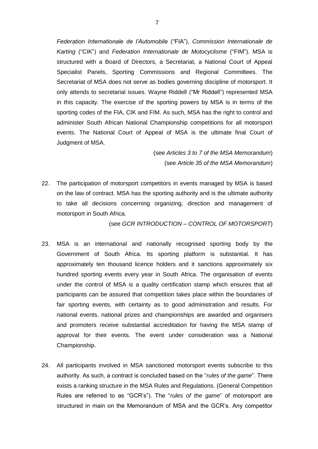*Federation Internationale de l'Automobile* ("FIA"), *Commission Internationale de Karting* ("CIK") and *Federation Internationale de Motocyclisme* ("FIM"). MSA is structured with a Board of Directors, a Secretariat, a National Court of Appeal Specialist Panels, Sporting Commissions and Regional Committees. The Secretariat of MSA does not serve as bodies governing discipline of motorsport. It only attends to secretarial issues. Wayne Riddell ("Mr Riddell") represented MSA in this capacity. The exercise of the sporting powers by MSA is in terms of the sporting codes of the FIA, CIK and FIM. As such, MSA has the right to control and administer South African National Championship competitions for all motorsport events. The National Court of Appeal of MSA is the ultimate final Court of Judgment of MSA.

> (see *Articles 3 to 7 of the MSA Memorandum*) (see *Article 35 of the MSA Memorandum*)

22. The participation of motorsport competitors in events managed by MSA is based on the law of contract. MSA has the sporting authority and is the ultimate authority to take all decisions concerning organizing, direction and management of motorsport in South Africa.

(see *GCR INTRODUCTION – CONTROL OF MOTORSPORT*)

- 23. MSA is an international and nationally recognised sporting body by the Government of South Africa. Its sporting platform is substantial. It has approximately ten thousand licence holders and it sanctions approximately six hundred sporting events every year in South Africa. The organisation of events under the control of MSA is a quality certification stamp which ensures that all participants can be assured that competition takes place within the boundaries of fair sporting events, with certainty as to good administration and results. For national events, national prizes and championships are awarded and organisers and promoters receive substantial accreditation for having the MSA stamp of approval for their events. The event under consideration was a National Championship.
- 24. All participants involved in MSA sanctioned motorsport events subscribe to this authority. As such, a contract is concluded based on the "*rules of the game*". There exists a ranking structure in the MSA Rules and Regulations. (General Competition Rules are referred to as "GCR's"). The "*rules of the game*" of motorsport are structured in main on the Memorandum of MSA and the GCR's. Any competitor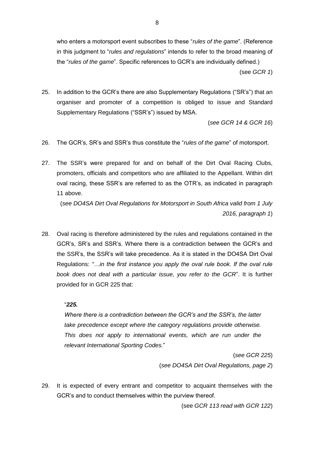who enters a motorsport event subscribes to these "*rules of the game*". (Reference in this judgment to "*rules and regulations*" intends to refer to the broad meaning of the "*rules of the game*". Specific references to GCR's are individually defined.) (see *GCR 1*)

25. In addition to the GCR's there are also Supplementary Regulations ("SR's") that an organiser and promoter of a competition is obliged to issue and Standard Supplementary Regulations ("SSR's") issued by MSA.

(*see GCR 14 & GCR 16*)

- 26. The GCR's, SR's and SSR's thus constitute the "*rules of the game*" of motorsport.
- 27. The SSR's were prepared for and on behalf of the Dirt Oval Racing Clubs, promoters, officials and competitors who are affiliated to the Appellant. Within dirt oval racing, these SSR's are referred to as the OTR's, as indicated in paragraph [11](#page-2-0) above.

(*see DO4SA Dirt Oval Regulations for Motorsport in South Africa valid from 1 July 2016, paragraph 1*)

28. Oval racing is therefore administered by the rules and regulations contained in the GCR's, SR's and SSR's. Where there is a contradiction between the GCR's and the SSR's, the SSR's will take precedence. As it is stated in the DO4SA Dirt Oval Regulations: *"…in the first instance you apply the oval rule book. If the oval rule book does not deal with a particular issue, you refer to the GCR*". It is further provided for in GCR 225 that:

#### "*225.*

*Where there is a contradiction between the GCR's and the SSR's, the latter take precedence except where the category regulations provide otherwise. This does not apply to international events, which are run under the relevant International Sporting Codes.*"

> (*see GCR 225*) (*see DO4SA Dirt Oval Regulations, page 2*)

29. It is expected of every entrant and competitor to acquaint themselves with the GCR's and to conduct themselves within the purview thereof.

(see *GCR 113 read with GCR 122*)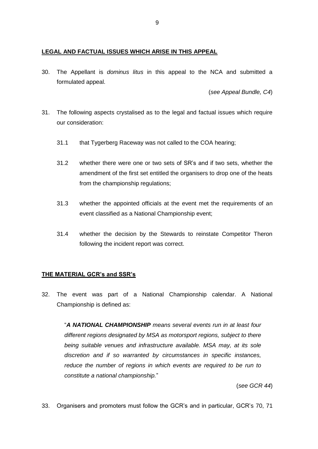## **LEGAL AND FACTUAL ISSUES WHICH ARISE IN THIS APPEAL**

30. The Appellant is *dominus litus* in this appeal to the NCA and submitted a formulated appeal.

(*see Appeal Bundle, C4*)

- <span id="page-8-0"></span>31. The following aspects crystalised as to the legal and factual issues which require our consideration:
	- 31.1 that Tygerberg Raceway was not called to the COA hearing;
	- 31.2 whether there were one or two sets of SR's and if two sets, whether the amendment of the first set entitled the organisers to drop one of the heats from the championship regulations;
	- 31.3 whether the appointed officials at the event met the requirements of an event classified as a National Championship event;
	- 31.4 whether the decision by the Stewards to reinstate Competitor Theron following the incident report was correct.

# **THE MATERIAL GCR's and SSR's**

32. The event was part of a National Championship calendar. A National Championship is defined as:

"*A NATIONAL CHAMPIONSHIP means several events run in at least four different regions designated by MSA as motorsport regions, subject to there being suitable venues and infrastructure available. MSA may, at its sole discretion and if so warranted by circumstances in specific instances, reduce the number of regions in which events are required to be run to constitute a national championship.*"

(*see GCR 44*)

33. Organisers and promoters must follow the GCR's and in particular, GCR's 70, 71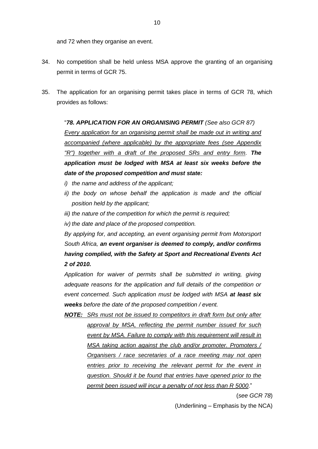and 72 when they organise an event.

- 34. No competition shall be held unless MSA approve the granting of an organising permit in terms of GCR 75.
- 35. The application for an organising permit takes place in terms of GCR 78, which provides as follows:

"*78. APPLICATION FOR AN ORGANISING PERMIT (See also GCR 87) Every application for an organising permit shall be made out in writing and accompanied (where applicable) by the appropriate fees (see Appendix "R") together with a draft of the proposed SRs and entry form. The application must be lodged with MSA at least six weeks before the date of the proposed competition and must state:* 

- *i) the name and address of the applicant;*
- *ii) the body on whose behalf the application is made and the official position held by the applicant;*
- *iii) the nature of the competition for which the permit is required;*
- *iv) the date and place of the proposed competition.*

*By applying for, and accepting, an event organising permit from Motorsport South Africa, an event organiser is deemed to comply, and/or confirms having complied, with the Safety at Sport and Recreational Events Act 2 of 2010.*

*Application for waiver of permits shall be submitted in writing, giving adequate reasons for the application and full details of the competition or event concerned. Such application must be lodged with MSA at least six weeks before the date of the proposed competition / event.*

*NOTE: SRs must not be issued to competitors in draft form but only after approval by MSA, reflecting the permit number issued for such event by MSA. Failure to comply with this requirement will result in MSA taking action against the club and/or promoter. Promoters / Organisers / race secretaries of a race meeting may not open entries prior to receiving the relevant permit for the event in question. Should it be found that entries have opened prior to the permit been issued will incur a penalty of not less than R 5000*."

(*see GCR 78*)

(Underlining – Emphasis by the NCA)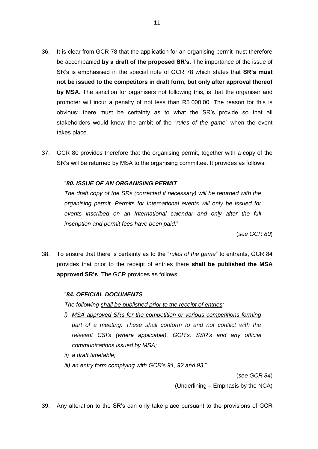- 36. It is clear from GCR 78 that the application for an organising permit must therefore be accompanied **by a draft of the proposed SR's**. The importance of the issue of SR's is emphasised in the special note of GCR 78 which states that **SR's must not be issued to the competitors in draft form, but only after approval thereof by MSA**. The sanction for organisers not following this, is that the organiser and promoter will incur a penalty of not less than R5 000.00. The reason for this is obvious: there must be certainty as to what the SR's provide so that all stakeholders would know the ambit of the "*rules of the game*" when the event takes place.
- 37. GCR 80 provides therefore that the organising permit, together with a copy of the SR's will be returned by MSA to the organising committee. It provides as follows:

#### "*80. ISSUE OF AN ORGANISING PERMIT*

*The draft copy of the SRs (corrected if necessary) will be returned with the organising permit. Permits for International events will only be issued for events inscribed on an International calendar and only after the full inscription and permit fees have been paid.*"

(*see GCR 80*)

38. To ensure that there is certainty as to the "*rules of the game*" to entrants, GCR 84 provides that prior to the receipt of entries there **shall be published the MSA approved SR's**. The GCR provides as follows:

#### "*84. OFFICIAL DOCUMENTS*

*The following shall be published prior to the receipt of entries:*

- *i) MSA approved SRs for the competition or various competitions forming part of a meeting. These shall conform to and not conflict with the relevant CSI's (where applicable), GCR's, SSR's and any official communications issued by MSA;*
- *ii) a draft timetable;*
- *iii) an entry form complying with GCR's 91, 92 and 93.*"

(*see GCR 84*)

(Underlining – Emphasis by the NCA)

39. Any alteration to the SR's can only take place pursuant to the provisions of GCR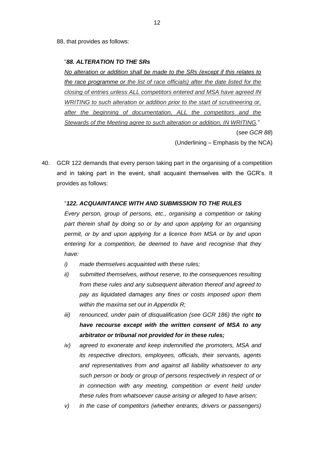88, that provides as follows:

#### "*88. ALTERATION TO THE SRs*

*No alteration or addition shall be made to the SRs (except if this relates to the race programme or the list of race officials) after the date listed for the closing of entries unless ALL competitors entered and MSA have agreed IN WRITING to such alteration or addition prior to the start of scrutineering or, after the beginning of documentation, ALL the competitors and the Stewards of the Meeting agree to such alteration or addition, IN WRITING.*"

(*see GCR 88*)

(Underlining – Emphasis by the NCA)

40. GCR 122 demands that every person taking part in the organising of a competition and in taking part in the event, shall acquaint themselves with the GCR's. It provides as follows:

## "*122. ACQUAINTANCE WITH AND SUBMISSION TO THE RULES*

*Every person, group of persons, etc., organising a competition or taking part therein shall by doing so or by and upon applying for an organising permit, or by and upon applying for a licence from MSA or by and upon entering for a competition, be deemed to have and recognise that they have:*

- *i) made themselves acquainted with these rules;*
- *ii) submitted themselves, without reserve, to the consequences resulting from these rules and any subsequent alteration thereof and agreed to pay as liquidated damages any fines or costs imposed upon them within the maxima set out in Appendix R;*
- *iii) renounced, under pain of disqualification (see GCR 186) the right to have recourse except with the written consent of MSA to any arbitrator or tribunal not provided for in these rules;*
- *iv) agreed to exonerate and keep indemnified the promoters, MSA and its respective directors, employees, officials, their servants, agents and representatives from and against all liability whatsoever to any such person or body or group of persons respectively in respect of or in connection with any meeting, competition or event held under these rules from whatsoever cause arising or alleged to have arisen;*
- *v) in the case of competitors (whether entrants, drivers or passengers)*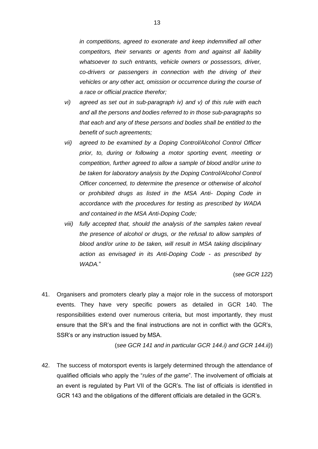*in competitions, agreed to exonerate and keep indemnified all other competitors, their servants or agents from and against all liability whatsoever to such entrants, vehicle owners or possessors, driver, co-drivers or passengers in connection with the driving of their vehicles or any other act, omission or occurrence during the course of a race or official practice therefor;*

- *vi) agreed as set out in sub-paragraph iv) and v) of this rule with each and all the persons and bodies referred to in those sub-paragraphs so that each and any of these persons and bodies shall be entitled to the benefit of such agreements;*
- *vii) agreed to be examined by a Doping Control/Alcohol Control Officer prior, to, during or following a motor sporting event, meeting or competition, further agreed to allow a sample of blood and/or urine to be taken for laboratory analysis by the Doping Control/Alcohol Control Officer concerned, to determine the presence or otherwise of alcohol or prohibited drugs as listed in the MSA Anti- Doping Code in accordance with the procedures for testing as prescribed by WADA and contained in the MSA Anti-Doping Code;*
- *viii) fully accepted that, should the analysis of the samples taken reveal the presence of alcohol or drugs, or the refusal to allow samples of blood and/or urine to be taken, will result in MSA taking disciplinary action as envisaged in its Anti-Doping Code - as prescribed by WADA.*"

(*see GCR 122*)

41. Organisers and promoters clearly play a major role in the success of motorsport events. They have very specific powers as detailed in GCR 140. The responsibilities extend over numerous criteria, but most importantly, they must ensure that the SR's and the final instructions are not in conflict with the GCR's, SSR's or any instruction issued by MSA.

(*see GCR 141 and in particular GCR 144.i) and GCR 144.ii)*)

42. The success of motorsport events is largely determined through the attendance of qualified officials who apply the "*rules of the game*". The involvement of officials at an event is regulated by Part VII of the GCR's. The list of officials is identified in GCR 143 and the obligations of the different officials are detailed in the GCR's.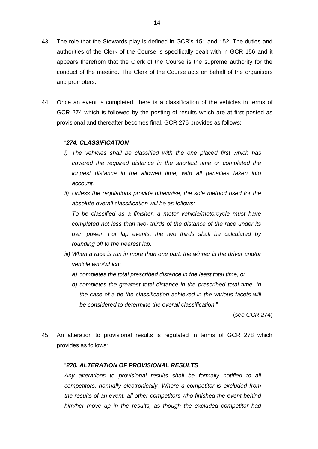- 43. The role that the Stewards play is defined in GCR's 151 and 152. The duties and authorities of the Clerk of the Course is specifically dealt with in GCR 156 and it appears therefrom that the Clerk of the Course is the supreme authority for the conduct of the meeting. The Clerk of the Course acts on behalf of the organisers and promoters.
- 44. Once an event is completed, there is a classification of the vehicles in terms of GCR 274 which is followed by the posting of results which are at first posted as provisional and thereafter becomes final. GCR 276 provides as follows:

#### "*274. CLASSIFICATION*

- *i) The vehicles shall be classified with the one placed first which has covered the required distance in the shortest time or completed the longest distance in the allowed time, with all penalties taken into account.*
- *ii) Unless the regulations provide otherwise, the sole method used for the absolute overall classification will be as follows:*

*To be classified as a finisher, a motor vehicle/motorcycle must have completed not less than two- thirds of the distance of the race under its own power. For lap events, the two thirds shall be calculated by rounding off to the nearest lap.* 

- *iii) When a race is run in more than one part, the winner is the driver and/or vehicle who/which:*
	- *a) completes the total prescribed distance in the least total time, or*
	- *b) completes the greatest total distance in the prescribed total time. In the case of a tie the classification achieved in the various facets will be considered to determine the overall classification.*"

(*see GCR 274*)

45. An alteration to provisional results is regulated in terms of GCR 278 which provides as follows:

#### "*278. ALTERATION OF PROVISIONAL RESULTS*

*Any alterations to provisional results shall be formally notified to all competitors, normally electronically. Where a competitor is excluded from the results of an event, all other competitors who finished the event behind him/her move up in the results, as though the excluded competitor had*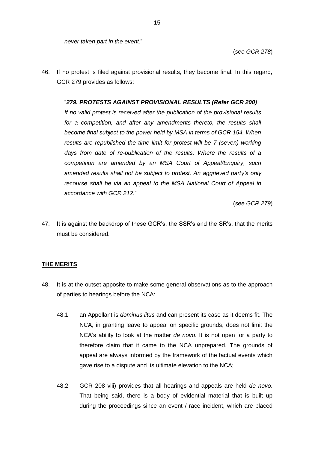*never taken part in the event.*"

(*see GCR 278*)

46. If no protest is filed against provisional results, they become final. In this regard, GCR 279 provides as follows:

#### "*279. PROTESTS AGAINST PROVISIONAL RESULTS (Refer GCR 200)*

*If no valid protest is received after the publication of the provisional results for a competition, and after any amendments thereto, the results shall become final subject to the power held by MSA in terms of GCR 154. When results are republished the time limit for protest will be 7 (seven) working days from date of re-publication of the results. Where the results of a competition are amended by an MSA Court of Appeal/Enquiry, such amended results shall not be subject to protest. An aggrieved party's only recourse shall be via an appeal to the MSA National Court of Appeal in accordance with GCR 212.*"

(*see GCR 279*)

47. It is against the backdrop of these GCR's, the SSR's and the SR's, that the merits must be considered.

## **THE MERITS**

- 48. It is at the outset apposite to make some general observations as to the approach of parties to hearings before the NCA:
	- 48.1 an Appellant is *dominus litus* and can present its case as it deems fit. The NCA, in granting leave to appeal on specific grounds, does not limit the NCA's ability to look at the matter *de novo*. It is not open for a party to therefore claim that it came to the NCA unprepared. The grounds of appeal are always informed by the framework of the factual events which gave rise to a dispute and its ultimate elevation to the NCA;
	- 48.2 GCR 208 viii) provides that all hearings and appeals are held *de novo*. That being said, there is a body of evidential material that is built up during the proceedings since an event / race incident, which are placed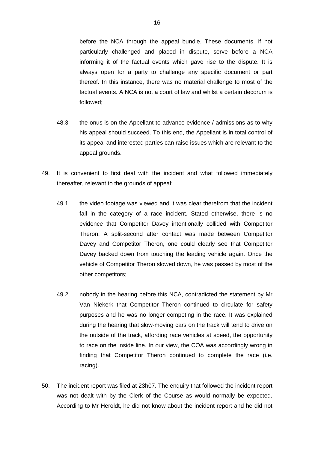before the NCA through the appeal bundle. These documents, if not particularly challenged and placed in dispute, serve before a NCA informing it of the factual events which gave rise to the dispute. It is always open for a party to challenge any specific document or part thereof. In this instance, there was no material challenge to most of the factual events. A NCA is not a court of law and whilst a certain decorum is followed;

- 48.3 the onus is on the Appellant to advance evidence / admissions as to why his appeal should succeed. To this end, the Appellant is in total control of its appeal and interested parties can raise issues which are relevant to the appeal grounds.
- 49. It is convenient to first deal with the incident and what followed immediately thereafter, relevant to the grounds of appeal:
	- 49.1 the video footage was viewed and it was clear therefrom that the incident fall in the category of a race incident. Stated otherwise, there is no evidence that Competitor Davey intentionally collided with Competitor Theron. A split-second after contact was made between Competitor Davey and Competitor Theron, one could clearly see that Competitor Davey backed down from touching the leading vehicle again. Once the vehicle of Competitor Theron slowed down, he was passed by most of the other competitors;
	- 49.2 nobody in the hearing before this NCA, contradicted the statement by Mr Van Niekerk that Competitor Theron continued to circulate for safety purposes and he was no longer competing in the race. It was explained during the hearing that slow-moving cars on the track will tend to drive on the outside of the track, affording race vehicles at speed, the opportunity to race on the inside line. In our view, the COA was accordingly wrong in finding that Competitor Theron continued to complete the race (i.e. racing).
- 50. The incident report was filed at 23h07. The enquiry that followed the incident report was not dealt with by the Clerk of the Course as would normally be expected. According to Mr Heroldt, he did not know about the incident report and he did not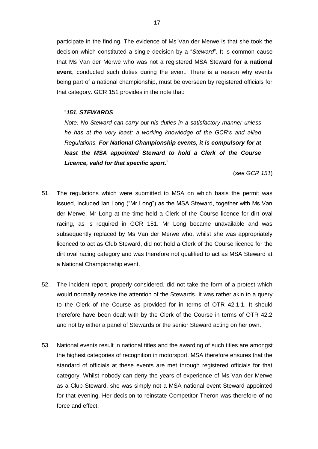participate in the finding. The evidence of Ms Van der Merwe is that she took the decision which constituted a single decision by a "*Steward*". It is common cause that Ms Van der Merwe who was not a registered MSA Steward **for a national event**, conducted such duties during the event. There is a reason why events being part of a national championship, must be overseen by registered officials for that category. GCR 151 provides in the note that:

#### "*151. STEWARDS*

*Note: No Steward can carry out his duties in a satisfactory manner unless he has at the very least; a working knowledge of the GCR's and allied Regulations. For National Championship events, it is compulsory for at least the MSA appointed Steward to hold a Clerk of the Course Licence, valid for that specific sport.*"

(*see GCR 151*)

- 51. The regulations which were submitted to MSA on which basis the permit was issued, included Ian Long ("Mr Long") as the MSA Steward, together with Ms Van der Merwe. Mr Long at the time held a Clerk of the Course licence for dirt oval racing, as is required in GCR 151. Mr Long became unavailable and was subsequently replaced by Ms Van der Merwe who, whilst she was appropriately licenced to act as Club Steward, did not hold a Clerk of the Course licence for the dirt oval racing category and was therefore not qualified to act as MSA Steward at a National Championship event.
- 52. The incident report, properly considered, did not take the form of a protest which would normally receive the attention of the Stewards. It was rather akin to a query to the Clerk of the Course as provided for in terms of OTR 42.1.1. It should therefore have been dealt with by the Clerk of the Course in terms of OTR 42.2 and not by either a panel of Stewards or the senior Steward acting on her own.
- 53. National events result in national titles and the awarding of such titles are amongst the highest categories of recognition in motorsport. MSA therefore ensures that the standard of officials at these events are met through registered officials for that category. Whilst nobody can deny the years of experience of Ms Van der Merwe as a Club Steward, she was simply not a MSA national event Steward appointed for that evening. Her decision to reinstate Competitor Theron was therefore of no force and effect.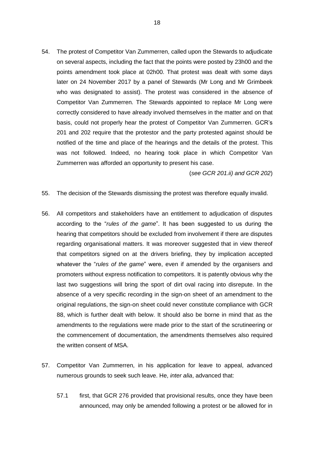54. The protest of Competitor Van Zummerren, called upon the Stewards to adjudicate on several aspects, including the fact that the points were posted by 23h00 and the points amendment took place at 02h00. That protest was dealt with some days later on 24 November 2017 by a panel of Stewards (Mr Long and Mr Grimbeek who was designated to assist). The protest was considered in the absence of Competitor Van Zummerren. The Stewards appointed to replace Mr Long were correctly considered to have already involved themselves in the matter and on that basis, could not properly hear the protest of Competitor Van Zummerren. GCR's 201 and 202 require that the protestor and the party protested against should be notified of the time and place of the hearings and the details of the protest. This was not followed. Indeed, no hearing took place in which Competitor Van Zummerren was afforded an opportunity to present his case.

(*see GCR 201.ii) and GCR 202*)

- 55. The decision of the Stewards dismissing the protest was therefore equally invalid.
- 56. All competitors and stakeholders have an entitlement to adjudication of disputes according to the "*rules of the game*". It has been suggested to us during the hearing that competitors should be excluded from involvement if there are disputes regarding organisational matters. It was moreover suggested that in view thereof that competitors signed on at the drivers briefing, they by implication accepted whatever the "*rules of the game*" were, even if amended by the organisers and promoters without express notification to competitors. It is patently obvious why the last two suggestions will bring the sport of dirt oval racing into disrepute. In the absence of a very specific recording in the sign-on sheet of an amendment to the original regulations, the sign-on sheet could never constitute compliance with GCR 88, which is further dealt with below. It should also be borne in mind that as the amendments to the regulations were made prior to the start of the scrutineering or the commencement of documentation, the amendments themselves also required the written consent of MSA.
- 57. Competitor Van Zummerren, in his application for leave to appeal, advanced numerous grounds to seek such leave. He, *inter alia*, advanced that:
	- 57.1 first, that GCR 276 provided that provisional results, once they have been announced, may only be amended following a protest or be allowed for in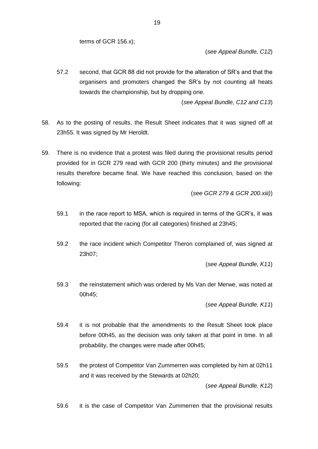terms of GCR 156.x);

(*see Appeal Bundle, C12*)

57.2 second, that GCR 88 did not provide for the alteration of SR's and that the organisers and promoters changed the SR's by not counting all heats towards the championship, but by dropping one.

(*see Appeal Bundle, C12 and C13*)

- 58. As to the posting of results, the Result Sheet indicates that it was signed off at 23h55. It was signed by Mr Heroldt.
- 59. There is no evidence that a protest was filed during the provisional results period provided for in GCR 279 read with GCR 200 (thirty minutes) and the provisional results therefore became final. We have reached this conclusion, based on the following:

(*see GCR 279 & GCR 200.xiii)*)

- 59.1 in the race report to MSA, which is required in terms of the GCR's, it was reported that the racing (for all categories) finished at 23h45;
- 59.2 the race incident which Competitor Theron complained of, was signed at 23h07;

(*see Appeal Bundle, K11*)

59.3 the reinstatement which was ordered by Ms Van der Merwe, was noted at 00h45;

(*see Appeal Bundle, K11*)

- 59.4 it is not probable that the amendments to the Result Sheet took place before 00h45, as the decision was only taken at that point in time. In all probability, the changes were made after 00h45;
- 59.5 the protest of Competitor Van Zummerren was completed by him at 02h11 and it was received by the Stewards at 02h20;

(*see Appeal Bundle, K12*)

59.6 it is the case of Competitor Van Zummerren that the provisional results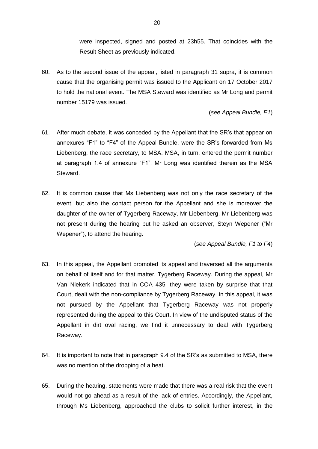were inspected, signed and posted at 23h55. That coincides with the Result Sheet as previously indicated.

60. As to the second issue of the appeal, listed in paragraph [31](#page-8-0) supra, it is common cause that the organising permit was issued to the Applicant on 17 October 2017 to hold the national event. The MSA Steward was identified as Mr Long and permit number 15179 was issued.

(*see Appeal Bundle, E1*)

- 61. After much debate, it was conceded by the Appellant that the SR's that appear on annexures "F1" to "F4" of the Appeal Bundle, were the SR's forwarded from Ms Liebenberg, the race secretary, to MSA. MSA, in turn, entered the permit number at paragraph 1.4 of annexure "F1". Mr Long was identified therein as the MSA Steward.
- 62. It is common cause that Ms Liebenberg was not only the race secretary of the event, but also the contact person for the Appellant and she is moreover the daughter of the owner of Tygerberg Raceway, Mr Liebenberg. Mr Liebenberg was not present during the hearing but he asked an observer, Steyn Wepener ("Mr Wepener"), to attend the hearing.

(*see Appeal Bundle, F1 to F4*)

- 63. In this appeal, the Appellant promoted its appeal and traversed all the arguments on behalf of itself and for that matter, Tygerberg Raceway. During the appeal, Mr Van Niekerk indicated that in COA 435, they were taken by surprise that that Court, dealt with the non-compliance by Tygerberg Raceway. In this appeal, it was not pursued by the Appellant that Tygerberg Raceway was not properly represented during the appeal to this Court. In view of the undisputed status of the Appellant in dirt oval racing, we find it unnecessary to deal with Tygerberg Raceway.
- 64. It is important to note that in paragraph 9.4 of the SR's as submitted to MSA, there was no mention of the dropping of a heat.
- 65. During the hearing, statements were made that there was a real risk that the event would not go ahead as a result of the lack of entries. Accordingly, the Appellant, through Ms Liebenberg, approached the clubs to solicit further interest, in the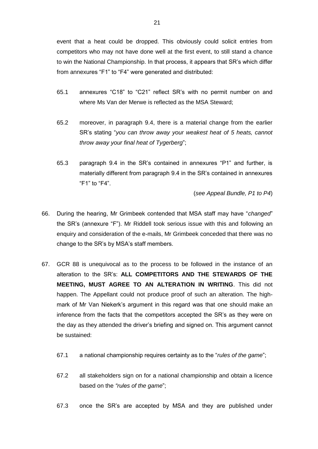event that a heat could be dropped. This obviously could solicit entries from competitors who may not have done well at the first event, to still stand a chance to win the National Championship. In that process, it appears that SR's which differ from annexures "F1" to "F4" were generated and distributed:

- 65.1 annexures "C18" to "C21" reflect SR's with no permit number on and where Ms Van der Merwe is reflected as the MSA Steward;
- 65.2 moreover, in paragraph 9.4, there is a material change from the earlier SR's stating "*you can throw away your weakest heat of 5 heats, cannot throw away your final heat of Tygerberg*";
- 65.3 paragraph 9.4 in the SR's contained in annexures "P1" and further, is materially different from paragraph 9.4 in the SR's contained in annexures "F1" to "F4".

(*see Appeal Bundle, P1 to P4*)

- 66. During the hearing, Mr Grimbeek contended that MSA staff may have "*changed*" the SR's (annexure "F"). Mr Riddell took serious issue with this and following an enquiry and consideration of the e-mails, Mr Grimbeek conceded that there was no change to the SR's by MSA's staff members.
- 67. GCR 88 is unequivocal as to the process to be followed in the instance of an alteration to the SR's: **ALL COMPETITORS AND THE STEWARDS OF THE MEETING, MUST AGREE TO AN ALTERATION IN WRITING**. This did not happen. The Appellant could not produce proof of such an alteration. The highmark of Mr Van Niekerk's argument in this regard was that one should make an inference from the facts that the competitors accepted the SR's as they were on the day as they attended the driver's briefing and signed on. This argument cannot be sustained:
	- 67.1 a national championship requires certainty as to the "*rules of the game*";
	- 67.2 all stakeholders sign on for a national championship and obtain a licence based on the *"rules of the game*";
	- 67.3 once the SR's are accepted by MSA and they are published under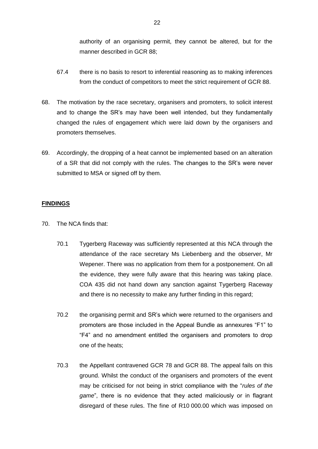authority of an organising permit, they cannot be altered, but for the manner described in GCR 88;

- 67.4 there is no basis to resort to inferential reasoning as to making inferences from the conduct of competitors to meet the strict requirement of GCR 88.
- 68. The motivation by the race secretary, organisers and promoters, to solicit interest and to change the SR's may have been well intended, but they fundamentally changed the rules of engagement which were laid down by the organisers and promoters themselves.
- 69. Accordingly, the dropping of a heat cannot be implemented based on an alteration of a SR that did not comply with the rules. The changes to the SR's were never submitted to MSA or signed off by them.

#### **FINDINGS**

- 70. The NCA finds that:
	- 70.1 Tygerberg Raceway was sufficiently represented at this NCA through the attendance of the race secretary Ms Liebenberg and the observer, Mr Wepener. There was no application from them for a postponement. On all the evidence, they were fully aware that this hearing was taking place. COA 435 did not hand down any sanction against Tygerberg Raceway and there is no necessity to make any further finding in this regard;
	- 70.2 the organising permit and SR's which were returned to the organisers and promoters are those included in the Appeal Bundle as annexures "F1" to "F4" and no amendment entitled the organisers and promoters to drop one of the heats;
	- 70.3 the Appellant contravened GCR 78 and GCR 88. The appeal fails on this ground. Whilst the conduct of the organisers and promoters of the event may be criticised for not being in strict compliance with the "*rules of the game*", there is no evidence that they acted maliciously or in flagrant disregard of these rules. The fine of R10 000.00 which was imposed on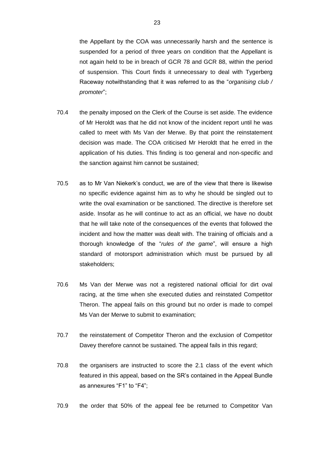the Appellant by the COA was unnecessarily harsh and the sentence is suspended for a period of three years on condition that the Appellant is not again held to be in breach of GCR 78 and GCR 88, within the period of suspension. This Court finds it unnecessary to deal with Tygerberg Raceway notwithstanding that it was referred to as the "*organising club / promoter*";

- 70.4 the penalty imposed on the Clerk of the Course is set aside. The evidence of Mr Heroldt was that he did not know of the incident report until he was called to meet with Ms Van der Merwe. By that point the reinstatement decision was made. The COA criticised Mr Heroldt that he erred in the application of his duties. This finding is too general and non-specific and the sanction against him cannot be sustained;
- 70.5 as to Mr Van Niekerk's conduct, we are of the view that there is likewise no specific evidence against him as to why he should be singled out to write the oval examination or be sanctioned. The directive is therefore set aside. Insofar as he will continue to act as an official, we have no doubt that he will take note of the consequences of the events that followed the incident and how the matter was dealt with. The training of officials and a thorough knowledge of the "*rules of the game*", will ensure a high standard of motorsport administration which must be pursued by all stakeholders;
- 70.6 Ms Van der Merwe was not a registered national official for dirt oval racing, at the time when she executed duties and reinstated Competitor Theron. The appeal fails on this ground but no order is made to compel Ms Van der Merwe to submit to examination;
- 70.7 the reinstatement of Competitor Theron and the exclusion of Competitor Davey therefore cannot be sustained. The appeal fails in this regard;
- 70.8 the organisers are instructed to score the 2.1 class of the event which featured in this appeal, based on the SR's contained in the Appeal Bundle as annexures "F1" to "F4";
- 70.9 the order that 50% of the appeal fee be returned to Competitor Van